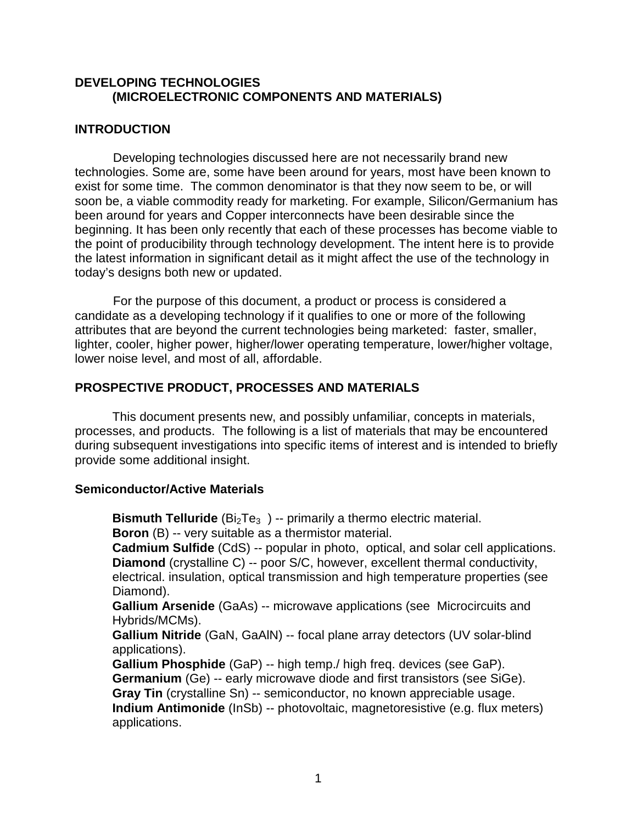### **DEVELOPING TECHNOLOGIES (MICROELECTRONIC COMPONENTS AND MATERIALS)**

### **INTRODUCTION**

Developing technologies discussed here are not necessarily brand new technologies. Some are, some have been around for years, most have been known to exist for some time. The common denominator is that they now seem to be, or will soon be, a viable commodity ready for marketing. For example, Silicon/Germanium has been around for years and Copper interconnects have been desirable since the beginning. It has been only recently that each of these processes has become viable to the point of producibility through technology development. The intent here is to provide the latest information in significant detail as it might affect the use of the technology in today's designs both new or updated.

For the purpose of this document, a product or process is considered a candidate as a developing technology if it qualifies to one or more of the following attributes that are beyond the current technologies being marketed: faster, smaller, lighter, cooler, higher power, higher/lower operating temperature, lower/higher voltage, lower noise level, and most of all, affordable.

### **PROSPECTIVE PRODUCT, PROCESSES AND MATERIALS**

This document presents new, and possibly unfamiliar, concepts in materials, processes, and products. The following is a list of materials that may be encountered during subsequent investigations into specific items of interest and is intended to briefly provide some additional insight.

#### **Semiconductor/Active Materials**

**Bismuth Telluride** (Bi<sub>2</sub>Te<sub>3</sub>) -- primarily a thermo electric material. **Boron** (B) -- very suitable as a thermistor material.

**Cadmium Sulfide** (CdS) -- popular in photo, optical, and solar cell applications. **Diamond** (crystalline C) -- poor S/C, however, excellent thermal conductivity, electrical. insulation, optical transmission and high temperature properties (see Diamond).

**Gallium Arsenide** (GaAs) -- microwave applications (see Microcircuits and Hybrids/MCMs).

**Gallium Nitride** (GaN, GaAlN) -- focal plane array detectors (UV solar-blind applications).

**Gallium Phosphide** (GaP) -- high temp./ high freq. devices (see GaP). **Germanium** (Ge) -- early microwave diode and first transistors (see SiGe).

**Gray Tin** (crystalline Sn) -- semiconductor, no known appreciable usage.

**Indium Antimonide** (InSb) -- photovoltaic, magnetoresistive (e.g. flux meters) applications.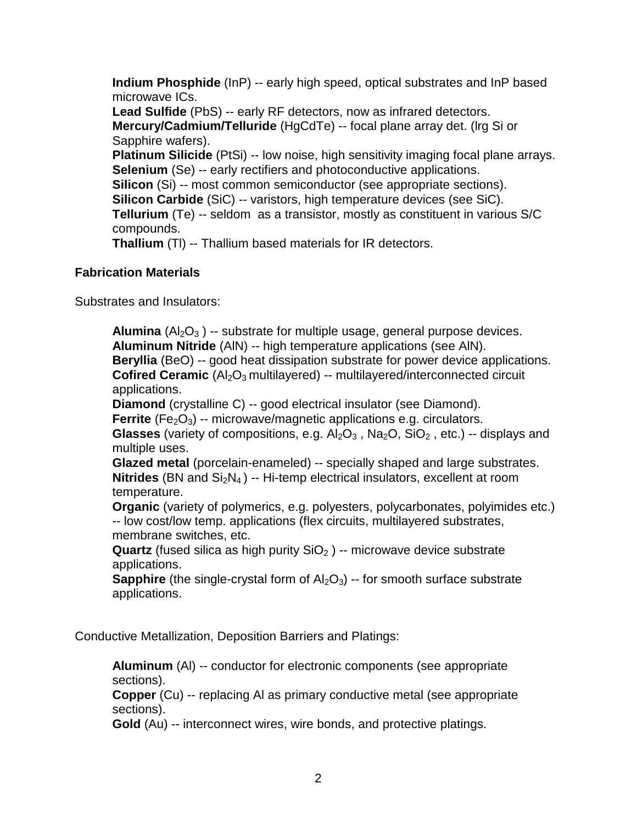**Indium Phosphide** (InP) -- early high speed, optical substrates and InP based microwave ICs. **Lead Sulfide** (PbS) -- early RF detectors, now as infrared detectors. **Mercury/Cadmium/Telluride** (HgCdTe) -- focal plane array det. (lrg Si or Sapphire wafers). **Platinum Silicide** (PtSi) -- low noise, high sensitivity imaging focal plane arrays. **Selenium** (Se) -- early rectifiers and photoconductive applications. **Silicon** (Si) -- most common semiconductor (see appropriate sections). **Silicon Carbide** (SiC) -- varistors, high temperature devices (see SiC). **Tellurium** (Te) -- seldom as a transistor, mostly as constituent in various S/C compounds. **Thallium** (Tl) -- Thallium based materials for IR detectors.

### **Fabrication Materials**

Substrates and Insulators:

**Alumina** (Al<sub>2</sub>O<sub>3</sub>) -- substrate for multiple usage, general purpose devices. **Aluminum Nitride** (AlN) -- high temperature applications (see AlN). **Beryllia** (BeO) -- good heat dissipation substrate for power device applications. **Cofired Ceramic** (Al<sub>2</sub>O<sub>3</sub> multilayered) -- multilayered/interconnected circuit applications.

**Diamond** (crystalline C) -- good electrical insulator (see Diamond).

**Ferrite** (Fe<sub>2</sub>O<sub>3</sub>) -- microwave/magnetic applications e.g. circulators.

**Glasses** (variety of compositions, e.g.  $Al_2O_3$ ,  $Na_2O$ ,  $SiO_2$ , etc.) -- displays and multiple uses.

**Glazed metal** (porcelain-enameled) -- specially shaped and large substrates. **Nitrides** (BN and  $Si<sub>2</sub>N<sub>4</sub>$ ) -- Hi-temp electrical insulators, excellent at room temperature.

**Organic** (variety of polymerics, e.g. polyesters, polycarbonates, polyimides etc.) -- low cost/low temp. applications (flex circuits, multilayered substrates, membrane switches, etc.

**Quartz** (fused silica as high purity SiO<sub>2</sub>) -- microwave device substrate applications.

**Sapphire** (the single-crystal form of  $A_2O_3$ ) -- for smooth surface substrate applications.

Conductive Metallization, Deposition Barriers and Platings:

**Aluminum** (Al) -- conductor for electronic components (see appropriate sections).

**Copper** (Cu) -- replacing AI as primary conductive metal (see appropriate sections).

**Gold** (Au) -- interconnect wires, wire bonds, and protective platings.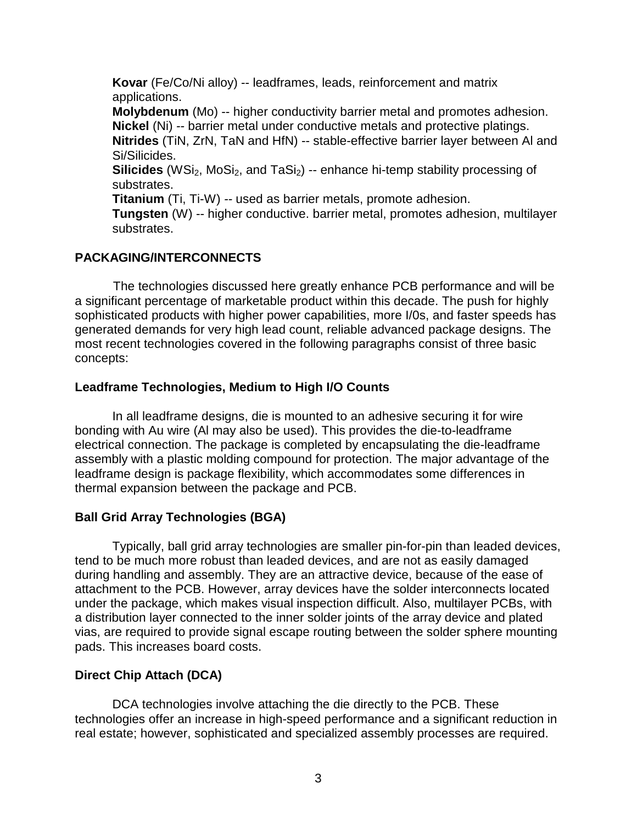**Kovar** (Fe/Co/Ni alloy) -- leadframes, leads, reinforcement and matrix applications. **Molybdenum** (Mo) -- higher conductivity barrier metal and promotes adhesion. **Nickel** (Ni) *--* barrier metal under conductive metals and protective platings. **Nitrides** (TiN, ZrN, TaN and HfN) -- stable-effective barrier layer between Al and Si/Silicides. **Silicides** (WSi<sub>2</sub>, MoSi<sub>2</sub>, and TaSi<sub>2</sub>) -- enhance hi-temp stability processing of substrates. **Titanium** (Ti, Ti-W) *--* used as barrier metals, promote adhesion. **Tungsten** (W) -- higher conductive. barrier metal, promotes adhesion, multilayer substrates.

## **PACKAGING/INTERCONNECTS**

The technologies discussed here greatly enhance PCB performance and will be a significant percentage of marketable product within this decade. The push for highly sophisticated products with higher power capabilities, more I/0s, and faster speeds has generated demands for very high lead count, reliable advanced package designs. The most recent technologies covered in the following paragraphs consist of three basic concepts:

### **Leadframe Technologies, Medium to High I/O Counts**

In all leadframe designs, die is mounted to an adhesive securing it for wire bonding with Au wire (Al may also be used). This provides the die-to-leadframe electrical connection. The package is completed by encapsulating the die-leadframe assembly with a plastic molding compound for protection. The major advantage of the leadframe design is package flexibility, which accommodates some differences in thermal expansion between the package and PCB.

### **Ball Grid Array Technologies (BGA)**

Typically, ball grid array technologies are smaller pin-for-pin than leaded devices, tend to be much more robust than leaded devices, and are not as easily damaged during handling and assembly. They are an attractive device, because of the ease of attachment to the PCB. However, array devices have the solder interconnects located under the package, which makes visual inspection difficult. Also, multilayer PCBs, with a distribution layer connected to the inner solder joints of the array device and plated vias, are required to provide signal escape routing between the solder sphere mounting pads. This increases board costs.

### **Direct Chip Attach (DCA)**

DCA technologies involve attaching the die directly to the PCB. These technologies offer an increase in high-speed performance and a significant reduction in real estate; however, sophisticated and specialized assembly processes are required.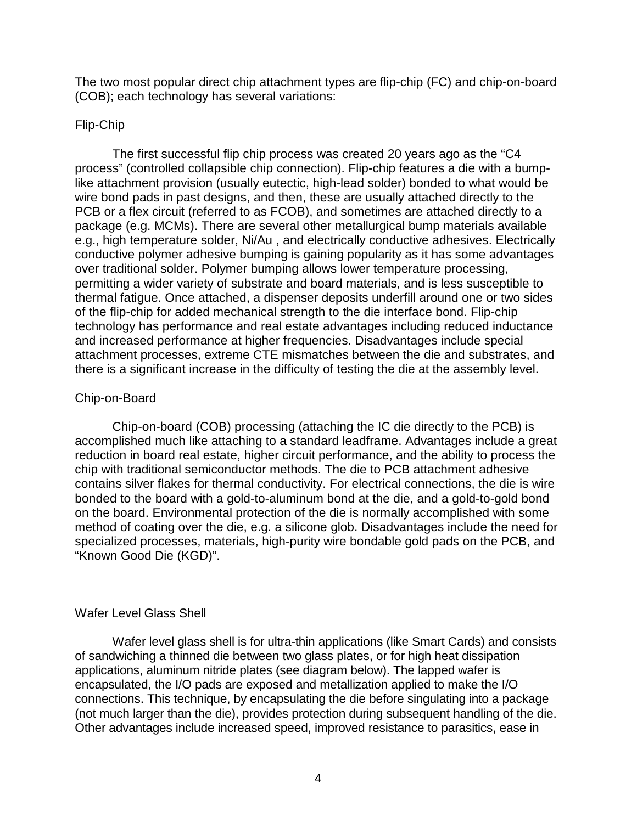The two most popular direct chip attachment types are flip-chip (FC) and chip-on-board (COB); each technology has several variations:

#### Flip-Chip

The first successful flip chip process was created 20 years ago as the "C4 process" (controlled collapsible chip connection). Flip-chip features a die with a bumplike attachment provision (usually eutectic, high-lead solder) bonded to what would be wire bond pads in past designs, and then, these are usually attached directly to the PCB or a flex circuit (referred to as FCOB), and sometimes are attached directly to a package (e.g. MCMs). There are several other metallurgical bump materials available e.g., high temperature solder, Ni/Au , and electrically conductive adhesives. Electrically conductive polymer adhesive bumping is gaining popularity as it has some advantages over traditional solder. Polymer bumping allows lower temperature processing, permitting a wider variety of substrate and board materials, and is less susceptible to thermal fatigue. Once attached, a dispenser deposits underfill around one or two sides of the flip-chip for added mechanical strength to the die interface bond. Flip-chip technology has performance and real estate advantages including reduced inductance and increased performance at higher frequencies. Disadvantages include special attachment processes, extreme CTE mismatches between the die and substrates, and there is a significant increase in the difficulty of testing the die at the assembly level.

#### Chip-on-Board

Chip-on-board (COB) processing (attaching the IC die directly to the PCB) is accomplished much like attaching to a standard leadframe. Advantages include a great reduction in board real estate, higher circuit performance, and the ability to process the chip with traditional semiconductor methods. The die to PCB attachment adhesive contains silver flakes for thermal conductivity. For electrical connections, the die is wire bonded to the board with a gold-to-aluminum bond at the die, and a gold-to-gold bond on the board. Environmental protection of the die is normally accomplished with some method of coating over the die, e.g. a silicone glob. Disadvantages include the need for specialized processes, materials, high-purity wire bondable gold pads on the PCB, and "Known Good Die (KGD)".

### Wafer Level Glass Shell

Wafer level glass shell is for ultra-thin applications (like Smart Cards) and consists of sandwiching a thinned die between two glass plates, or for high heat dissipation applications, aluminum nitride plates (see diagram below). The lapped wafer is encapsulated, the I/O pads are exposed and metallization applied to make the I/O connections. This technique, by encapsulating the die before singulating into a package (not much larger than the die), provides protection during subsequent handling of the die. Other advantages include increased speed, improved resistance to parasitics, ease in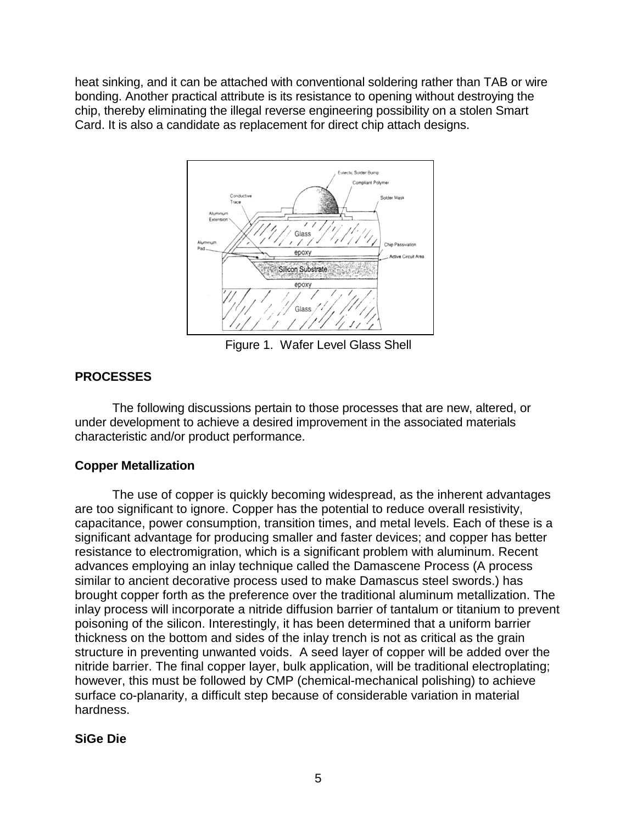heat sinking, and it can be attached with conventional soldering rather than TAB or wire bonding. Another practical attribute is its resistance to opening without destroying the chip, thereby eliminating the illegal reverse engineering possibility on a stolen Smart Card. It is also a candidate as replacement for direct chip attach designs.



Figure 1. Wafer Level Glass Shell

# **PROCESSES**

The following discussions pertain to those processes that are new, altered, or under development to achieve a desired improvement in the associated materials characteristic and/or product performance.

# **Copper Metallization**

The use of copper is quickly becoming widespread, as the inherent advantages are too significant to ignore. Copper has the potential to reduce overall resistivity, capacitance, power consumption, transition times, and metal levels. Each of these is a significant advantage for producing smaller and faster devices; and copper has better resistance to electromigration, which is a significant problem with aluminum. Recent advances employing an inlay technique called the Damascene Process (A process similar to ancient decorative process used to make Damascus steel swords.) has brought copper forth as the preference over the traditional aluminum metallization. The inlay process will incorporate a nitride diffusion barrier of tantalum or titanium to prevent poisoning of the silicon. Interestingly, it has been determined that a uniform barrier thickness on the bottom and sides of the inlay trench is not as critical as the grain structure in preventing unwanted voids. A seed layer of copper will be added over the nitride barrier. The final copper layer, bulk application, will be traditional electroplating; however, this must be followed by CMP (chemical-mechanical polishing) to achieve surface co-planarity, a difficult step because of considerable variation in material hardness.

# **SiGe Die**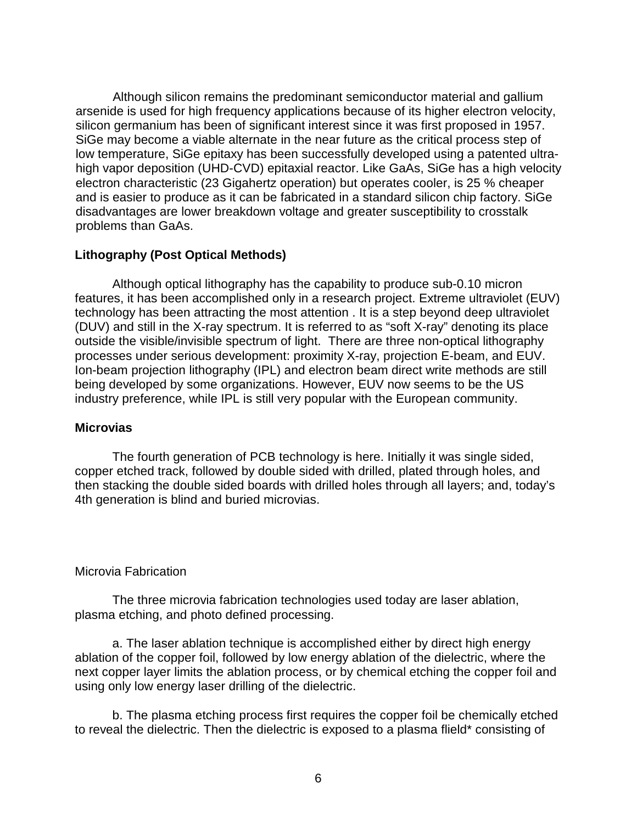Although silicon remains the predominant semiconductor material and gallium arsenide is used for high frequency applications because of its higher electron velocity, silicon germanium has been of significant interest since it was first proposed in 1957. SiGe may become a viable alternate in the near future as the critical process step of low temperature, SiGe epitaxy has been successfully developed using a patented ultrahigh vapor deposition (UHD-CVD) epitaxial reactor. Like GaAs, SiGe has a high velocity electron characteristic (23 Gigahertz operation) but operates cooler, is 25 % cheaper and is easier to produce as it can be fabricated in a standard silicon chip factory. SiGe disadvantages are lower breakdown voltage and greater susceptibility to crosstalk problems than GaAs.

## **Lithography (Post Optical Methods)**

Although optical lithography has the capability to produce sub-0.10 micron features, it has been accomplished only in a research project. Extreme ultraviolet (EUV) technology has been attracting the most attention . It is a step beyond deep ultraviolet (DUV) and still in the X-ray spectrum. It is referred to as "soft X-ray" denoting its place outside the visible/invisible spectrum of light. There are three non-optical lithography processes under serious development: proximity X-ray, projection E-beam, and EUV. Ion-beam projection lithography (IPL) and electron beam direct write methods are still being developed by some organizations. However, EUV now seems to be the US industry preference, while IPL is still very popular with the European community.

### **Microvias**

The fourth generation of PCB technology is here. Initially it was single sided, copper etched track, followed by double sided with drilled, plated through holes, and then stacking the double sided boards with drilled holes through all layers; and, today's 4th generation is blind and buried microvias.

### Microvia Fabrication

The three microvia fabrication technologies used today are laser ablation, plasma etching, and photo defined processing.

a. The laser ablation technique is accomplished either by direct high energy ablation of the copper foil, followed by low energy ablation of the dielectric, where the next copper layer limits the ablation process, or by chemical etching the copper foil and using only low energy laser drilling of the dielectric.

b. The plasma etching process first requires the copper foil be chemically etched to reveal the dielectric. Then the dielectric is exposed to a plasma flield\* consisting of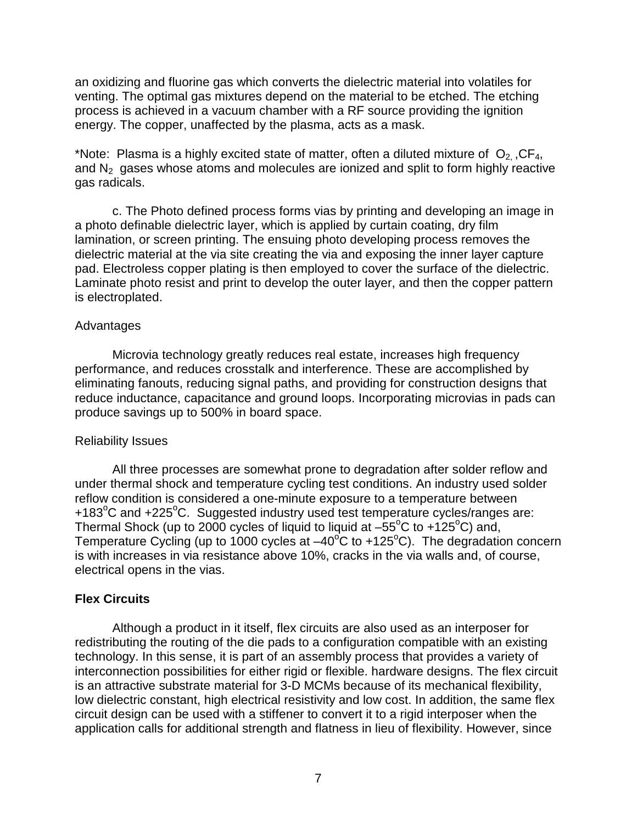an oxidizing and fluorine gas which converts the dielectric material into volatiles for venting. The optimal gas mixtures depend on the material to be etched. The etching process is achieved in a vacuum chamber with a RF source providing the ignition energy. The copper, unaffected by the plasma, acts as a mask.

\*Note: Plasma is a highly excited state of matter, often a diluted mixture of  $O_2$ , CF<sub>4</sub>, and  $N<sub>2</sub>$  gases whose atoms and molecules are ionized and split to form highly reactive gas radicals.

c. The Photo defined process forms vias by printing and developing an image in a photo definable dielectric layer, which is applied by curtain coating, dry film lamination, or screen printing. The ensuing photo developing process removes the dielectric material at the via site creating the via and exposing the inner layer capture pad. Electroless copper plating is then employed to cover the surface of the dielectric. Laminate photo resist and print to develop the outer layer, and then the copper pattern is electroplated.

#### Advantages

Microvia technology greatly reduces real estate, increases high frequency performance, and reduces crosstalk and interference. These are accomplished by eliminating fanouts, reducing signal paths, and providing for construction designs that reduce inductance, capacitance and ground loops. Incorporating microvias in pads can produce savings up to 500% in board space.

### Reliability Issues

All three processes are somewhat prone to degradation after solder reflow and under thermal shock and temperature cycling test conditions. An industry used solder reflow condition is considered a one-minute exposure to a temperature between +183<sup>o</sup>C and +225<sup>o</sup>C. Suggested industry used test temperature cycles/ranges are: Thermal Shock (up to 2000 cycles of liquid to liquid at  $-55^{\circ}$ C to +125 $^{\circ}$ C) and, Temperature Cycling (up to 1000 cycles at  $-40^{\circ}$ C to +125°C). The degradation concern is with increases in via resistance above 10%, cracks in the via walls and, of course, electrical opens in the vias.

### **Flex Circuits**

Although a product in it itself, flex circuits are also used as an interposer for redistributing the routing of the die pads to a configuration compatible with an existing technology. In this sense, it is part of an assembly process that provides a variety of interconnection possibilities for either rigid or flexible. hardware designs. The flex circuit is an attractive substrate material for 3-D MCMs because of its mechanical flexibility, low dielectric constant, high electrical resistivity and low cost. In addition, the same flex circuit design can be used with a stiffener to convert it to a rigid interposer when the application calls for additional strength and flatness in lieu of flexibility. However, since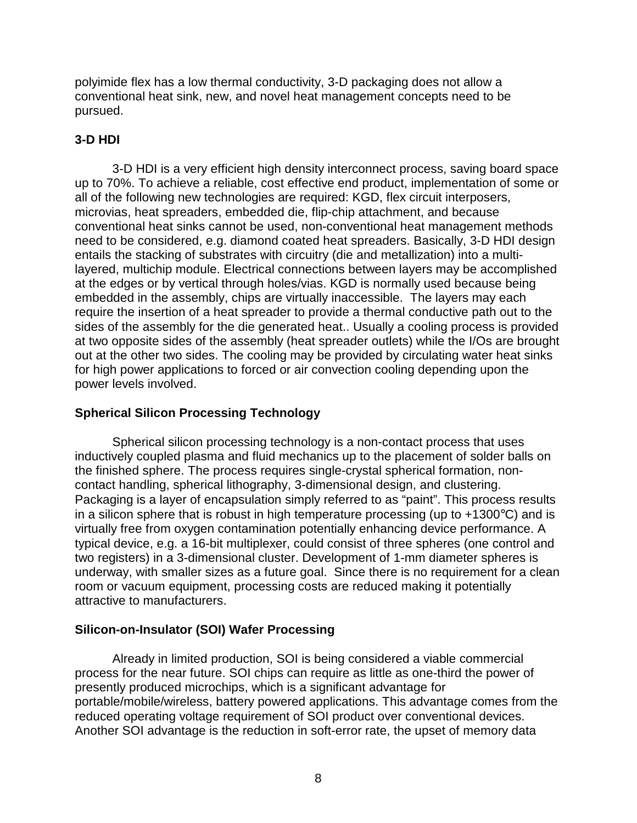polyimide flex has a low thermal conductivity, 3-D packaging does not allow a conventional heat sink, new, and novel heat management concepts need to be pursued.

# **3-D HDI**

3-D HDI is a very efficient high density interconnect process, saving board space up to 70%. To achieve a reliable, cost effective end product, implementation of some or all of the following new technologies are required: KGD, flex circuit interposers, microvias, heat spreaders, embedded die, flip-chip attachment, and because conventional heat sinks cannot be used, non-conventional heat management methods need to be considered, e.g. diamond coated heat spreaders. Basically, 3-D HDI design entails the stacking of substrates with circuitry (die and metallization) into a multilayered, multichip module. Electrical connections between layers may be accomplished at the edges or by vertical through holes/vias. KGD is normally used because being embedded in the assembly, chips are virtually inaccessible. The layers may each require the insertion of a heat spreader to provide a thermal conductive path out to the sides of the assembly for the die generated heat.. Usually a cooling process is provided at two opposite sides of the assembly (heat spreader outlets) while the I/Os are brought out at the other two sides. The cooling may be provided by circulating water heat sinks for high power applications to forced or air convection cooling depending upon the power levels involved.

### **Spherical Silicon Processing Technology**

Spherical silicon processing technology is a non-contact process that uses inductively coupled plasma and fluid mechanics up to the placement of solder balls on the finished sphere. The process requires single-crystal spherical formation, noncontact handling, spherical lithography, 3-dimensional design, and clustering. Packaging is a layer of encapsulation simply referred to as "paint". This process results in a silicon sphere that is robust in high temperature processing (up to  $+1300^{\circ}$ C) and is virtually free from oxygen contamination potentially enhancing device performance. A typical device, e.g. a 16-bit multiplexer, could consist of three spheres (one control and two registers) in a 3-dimensional cluster. Development of 1-mm diameter spheres is underway, with smaller sizes as a future goal. Since there is no requirement for a clean room or vacuum equipment, processing costs are reduced making it potentially attractive to manufacturers.

# **Silicon-on-Insulator (SOI) Wafer Processing**

Already in limited production, SOI is being considered a viable commercial process for the near future. SOI chips can require as little as one-third the power of presently produced microchips, which is a significant advantage for portable/mobile/wireless, battery powered applications. This advantage comes from the reduced operating voltage requirement of SOI product over conventional devices. Another SOI advantage is the reduction in soft-error rate, the upset of memory data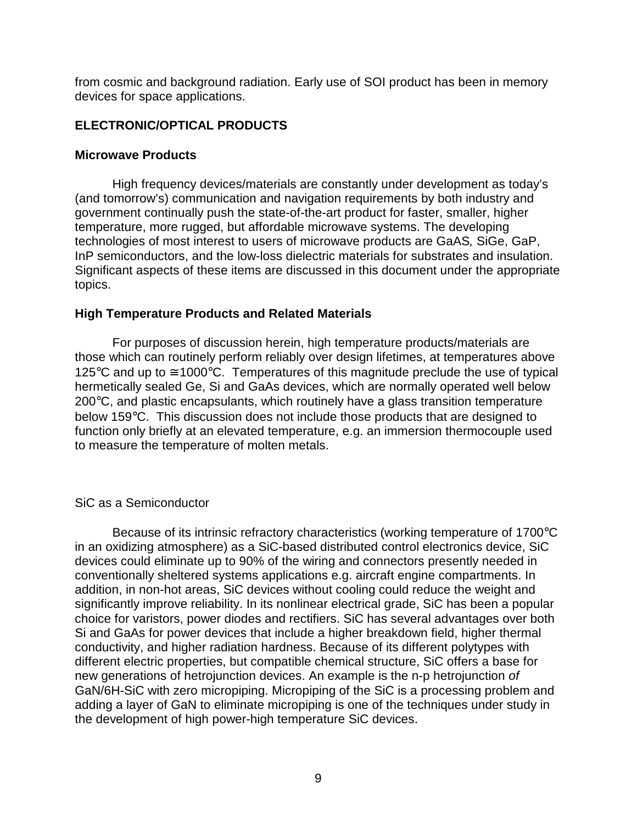from cosmic and background radiation. Early use of SOI product has been in memory devices for space applications.

## **ELECTRONIC/OPTICAL PRODUCTS**

#### **Microwave Products**

High frequency devices/materials are constantly under development as today's (and tomorrow's) communication and navigation requirements by both industry and government continually push the state-of-the-art product for faster, smaller, higher temperature, more rugged, but affordable microwave systems. The developing technologies of most interest to users of microwave products are GaAS*,* SiGe, GaP, InP semiconductors, and the low-loss dielectric materials for substrates and insulation. Significant aspects of these items are discussed in this document under the appropriate topics.

### **High Temperature Products and Related Materials**

For purposes of discussion herein, high temperature products/materials are those which can routinely perform reliably over design lifetimes, at temperatures above 125 $\degree$ C and up to  $\cong$  1000 $\degree$ C. Temperatures of this magnitude preclude the use of typical hermetically sealed Ge, Si and GaAs devices, which are normally operated well below 200°C, and plastic encapsulants, which routinely have a glass transition temperature below 159°C. This discussion does not include those products that are designed to function only briefly at an elevated temperature, e.g. an immersion thermocouple used to measure the temperature of molten metals.

### SiC as a Semiconductor

Because of its intrinsic refractory characteristics (working temperature of 1700°C in an oxidizing atmosphere) as a SiC-based distributed control electronics device, SiC devices could eliminate up to 90% of the wiring and connectors presently needed in conventionally sheltered systems applications e.g. aircraft engine compartments. In addition, in non-hot areas, SiC devices without cooling could reduce the weight and significantly improve reliability. In its nonlinear electrical grade, SiC has been a popular choice for varistors, power diodes and rectifiers. SiC has several advantages over both Si and GaAs for power devices that include a higher breakdown field, higher thermal conductivity, and higher radiation hardness. Because of its different polytypes with different electric properties, but compatible chemical structure, SiC offers a base for new generations of hetrojunction devices. An example is the n-p hetrojunction *of* GaN/6H-SiC with zero micropiping. Micropiping of the SiC is a processing problem and adding a layer of GaN to eliminate micropiping is one of the techniques under study in the development of high power-high temperature SiC devices.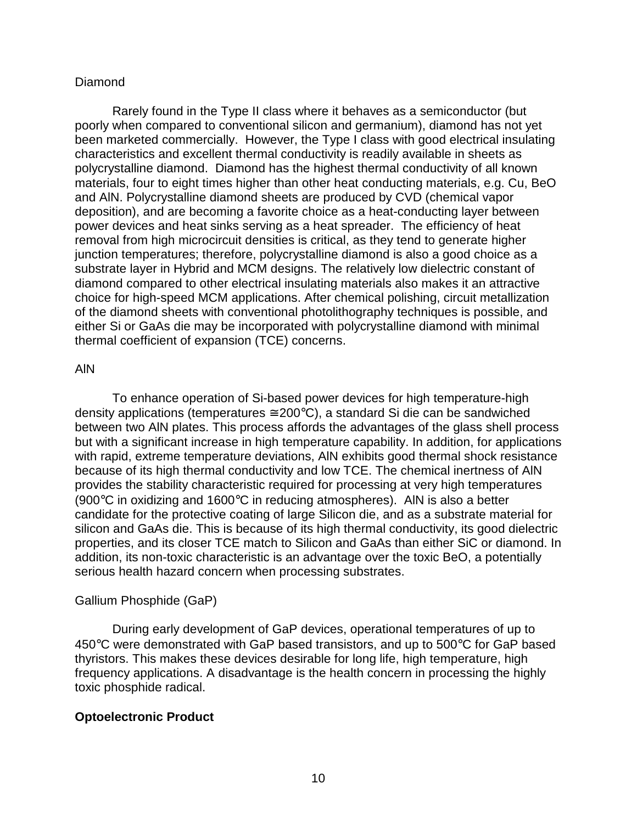### Diamond

Rarely found in the Type II class where it behaves as a semiconductor (but poorly when compared to conventional silicon and germanium), diamond has not yet been marketed commercially. However, the Type I class with good electrical insulating characteristics and excellent thermal conductivity is readily available in sheets as polycrystalline diamond. Diamond has the highest thermal conductivity of all known materials, four to eight times higher than other heat conducting materials, e.g. Cu, BeO and AlN. Polycrystalline diamond sheets are produced by CVD (chemical vapor deposition), and are becoming a favorite choice as a heat-conducting layer between power devices and heat sinks serving as a heat spreader. The efficiency of heat removal from high microcircuit densities is critical, as they tend to generate higher junction temperatures; therefore, polycrystalline diamond is also a good choice as a substrate layer in Hybrid and MCM designs. The relatively low dielectric constant of diamond compared to other electrical insulating materials also makes it an attractive choice for high-speed MCM applications. After chemical polishing, circuit metallization of the diamond sheets with conventional photolithography techniques is possible, and either Si or GaAs die may be incorporated with polycrystalline diamond with minimal thermal coefficient of expansion (TCE) concerns.

### AlN

To enhance operation of Si-based power devices for high temperature-high density applications (temperatures  $\approx 200^{\circ}$ C), a standard Si die can be sandwiched between two AlN plates. This process affords the advantages of the glass shell process but with a significant increase in high temperature capability. In addition, for applications with rapid, extreme temperature deviations, AlN exhibits good thermal shock resistance because of its high thermal conductivity and low TCE. The chemical inertness of AlN provides the stability characteristic required for processing at very high temperatures (900°C in oxidizing and 1600°C in reducing atmospheres). AlN is also a better candidate for the protective coating of large Silicon die, and as a substrate material for silicon and GaAs die. This is because of its high thermal conductivity, its good dielectric properties, and its closer TCE match to Silicon and GaAs than either SiC or diamond. In addition, its non-toxic characteristic is an advantage over the toxic BeO, a potentially serious health hazard concern when processing substrates.

# Gallium Phosphide (GaP)

During early development of GaP devices, operational temperatures of up to 450°C were demonstrated with GaP based transistors, and up to 500°C for GaP based thyristors. This makes these devices desirable for long life, high temperature, high frequency applications. A disadvantage is the health concern in processing the highly toxic phosphide radical.

# **Optoelectronic Product**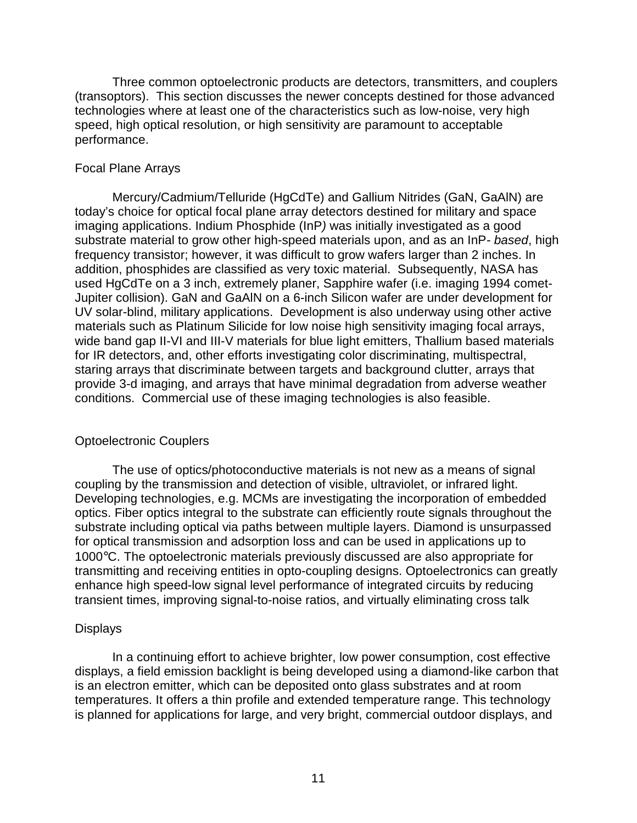Three common optoelectronic products are detectors, transmitters, and couplers (transoptors). This section discusses the newer concepts destined for those advanced technologies where at least one of the characteristics such as low-noise, very high speed, high optical resolution, or high sensitivity are paramount to acceptable performance.

#### Focal Plane Arrays

Mercury/Cadmium/Telluride (HgCdTe) and Gallium Nitrides (GaN, GaAlN) are today's choice for optical focal plane array detectors destined for military and space imaging applications. Indium Phosphide (InP*)* was initially investigated as a good substrate material to grow other high-speed materials upon, and as an InP*- based*, high frequency transistor; however, it was difficult to grow wafers larger than 2 inches. In addition, phosphides are classified as very toxic material. Subsequently, NASA has used HgCdTe on a 3 inch, extremely planer, Sapphire wafer (i.e. imaging 1994 comet-Jupiter collision). GaN and GaAlN on a 6-inch Silicon wafer are under development for UV solar-blind, military applications. Development is also underway using other active materials such as Platinum Silicide for low noise high sensitivity imaging focal arrays, wide band gap II-VI and III-V materials for blue light emitters, Thallium based materials for IR detectors, and, other efforts investigating color discriminating, multispectral, staring arrays that discriminate between targets and background clutter, arrays that provide 3-d imaging, and arrays that have minimal degradation from adverse weather conditions. Commercial use of these imaging technologies is also feasible.

#### Optoelectronic Couplers

The use of optics/photoconductive materials is not new as a means of signal coupling by the transmission and detection of visible, ultraviolet, or infrared light. Developing technologies, e.g. MCMs are investigating the incorporation of embedded optics. Fiber optics integral to the substrate can efficiently route signals throughout the substrate including optical via paths between multiple layers. Diamond is unsurpassed for optical transmission and adsorption loss and can be used in applications up to 1000°C. The optoelectronic materials previously discussed are also appropriate for transmitting and receiving entities in opto-coupling designs. Optoelectronics can greatly enhance high speed-low signal level performance of integrated circuits by reducing transient times, improving signal-to-noise ratios, and virtually eliminating cross talk

#### **Displays**

In a continuing effort to achieve brighter, low power consumption, cost effective displays, a field emission backlight is being developed using a diamond-like carbon that is an electron emitter, which can be deposited onto glass substrates and at room temperatures. It offers a thin profile and extended temperature range. This technology is planned for applications for large, and very bright, commercial outdoor displays, and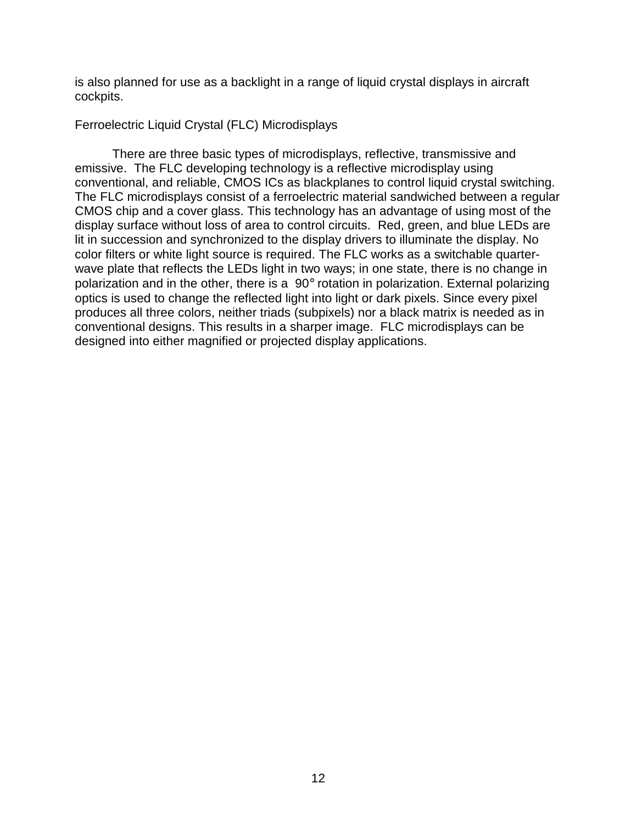is also planned for use as a backlight in a range of liquid crystal displays in aircraft cockpits.

### Ferroelectric Liquid Crystal (FLC) Microdisplays

There are three basic types of microdisplays, reflective, transmissive and emissive. The FLC developing technology is a reflective microdisplay using conventional, and reliable, CMOS ICs as blackplanes to control liquid crystal switching. The FLC microdisplays consist of a ferroelectric material sandwiched between a regular CMOS chip and a cover glass. This technology has an advantage of using most of the display surface without loss of area to control circuits. Red, green, and blue LEDs are lit in succession and synchronized to the display drivers to illuminate the display. No color filters or white light source is required. The FLC works as a switchable quarterwave plate that reflects the LEDs light in two ways; in one state, there is no change in polarization and in the other, there is a 90° rotation in polarization. External polarizing optics is used to change the reflected light into light or dark pixels. Since every pixel produces all three colors, neither triads (subpixels) nor a black matrix is needed as in conventional designs. This results in a sharper image. FLC microdisplays can be designed into either magnified or projected display applications.